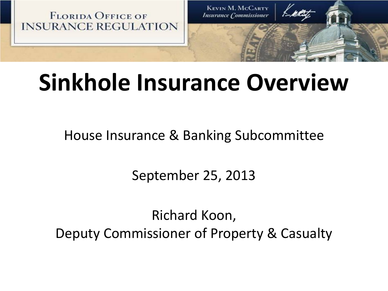

# **Sinkhole Insurance Overview**

House Insurance & Banking Subcommittee

September 25, 2013

Richard Koon, Deputy Commissioner of Property & Casualty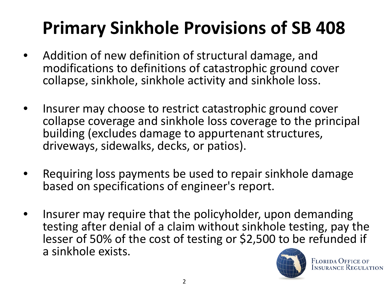## **Primary Sinkhole Provisions of SB 408**

- Addition of new definition of structural damage, and modifications to definitions of catastrophic ground cover collapse, sinkhole, sinkhole activity and sinkhole loss.
- Insurer may choose to restrict catastrophic ground cover collapse coverage and sinkhole loss coverage to the principal building (excludes damage to appurtenant structures, driveways, sidewalks, decks, or patios).
- Requiring loss payments be used to repair sinkhole damage based on specifications of engineer's report.
- Insurer may require that the policyholder, upon demanding testing after denial of a claim without sinkhole testing, pay the lesser of 50% of the cost of testing or \$2,500 to be refunded if a sinkhole exists.



**FLORIDA OFFICE OF INSURANCE REGULATION**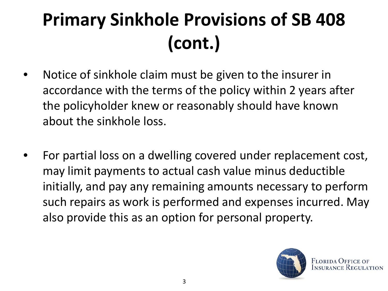# **Primary Sinkhole Provisions of SB 408 (cont.)**

- Notice of sinkhole claim must be given to the insurer in accordance with the terms of the policy within 2 years after the policyholder knew or reasonably should have known about the sinkhole loss.
- For partial loss on a dwelling covered under replacement cost, may limit payments to actual cash value minus deductible initially, and pay any remaining amounts necessary to perform such repairs as work is performed and expenses incurred. May also provide this as an option for personal property.



**FLORIDA OFFICE OI**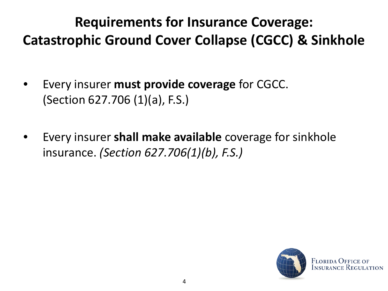#### **Requirements for Insurance Coverage: Catastrophic Ground Cover Collapse (CGCC) & Sinkhole**

- Every insurer **must provide coverage** for CGCC. (Section 627.706 (1)(a), F.S.)
- Every insurer **shall make available** coverage for sinkhole insurance. *(Section 627.706(1)(b), F.S.)*

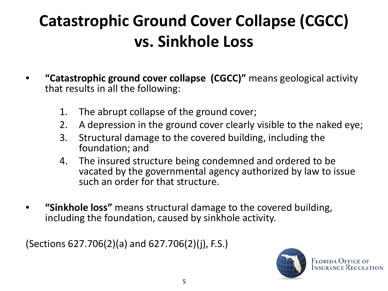### **Catastrophic Ground Cover Collapse (CGCC) vs. Sinkhole Loss**

- **"Catastrophic ground cover collapse (CGCC)"** means geological activity that results in all the following:
	- 1. The abrupt collapse of the ground cover;
	- 2. A depression in the ground cover clearly visible to the naked eye;
	- 3. Structural damage to the covered building, including the foundation; and
	- 4. The insured structure being condemned and ordered to be vacated by the governmental agency authorized by law to issue such an order for that structure.
- **"Sinkhole loss"** means structural damage to the covered building, including the foundation, caused by sinkhole activity.

(Sections 627.706(2)(a) and 627.706(2)(j), F.S.)

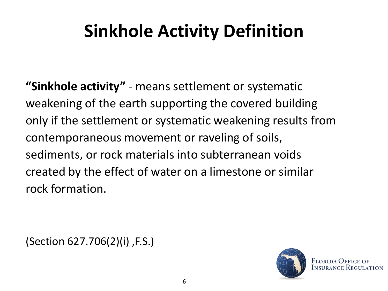### **Sinkhole Activity Definition**

**"Sinkhole activity"** - means settlement or systematic weakening of the earth supporting the covered building only if the settlement or systematic weakening results from contemporaneous movement or raveling of soils, sediments, or rock materials into subterranean voids created by the effect of water on a limestone or similar rock formation.

(Section 627.706(2)(i) ,F.S.)

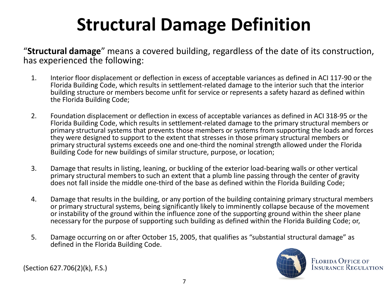## **Structural Damage Definition**

"**Structural damage**" means a covered building, regardless of the date of its construction, has experienced the following:

- 1. Interior floor displacement or deflection in excess of acceptable variances as defined in ACI 117-90 or the Florida Building Code, which results in settlement-related damage to the interior such that the interior building structure or members become unfit for service or represents a safety hazard as defined within the Florida Building Code;
- 2. Foundation displacement or deflection in excess of acceptable variances as defined in ACI 318-95 or the Florida Building Code, which results in settlement-related damage to the primary structural members or primary structural systems that prevents those members or systems from supporting the loads and forces they were designed to support to the extent that stresses in those primary structural members or primary structural systems exceeds one and one-third the nominal strength allowed under the Florida Building Code for new buildings of similar structure, purpose, or location;
- 3. Damage that results in listing, leaning, or buckling of the exterior load-bearing walls or other vertical primary structural members to such an extent that a plumb line passing through the center of gravity does not fall inside the middle one-third of the base as defined within the Florida Building Code;
- 4. Damage that results in the building, or any portion of the building containing primary structural members or primary structural systems, being significantly likely to imminently collapse because of the movement or instability of the ground within the influence zone of the supporting ground within the sheer plane necessary for the purpose of supporting such building as defined within the Florida Building Code; or,
- 5. Damage occurring on or after October 15, 2005, that qualifies as "substantial structural damage" as defined in the Florida Building Code.



**FLORIDA OFFICE OF INSURANCE REGULATION** 

(Section 627.706(2)(k), F.S.)